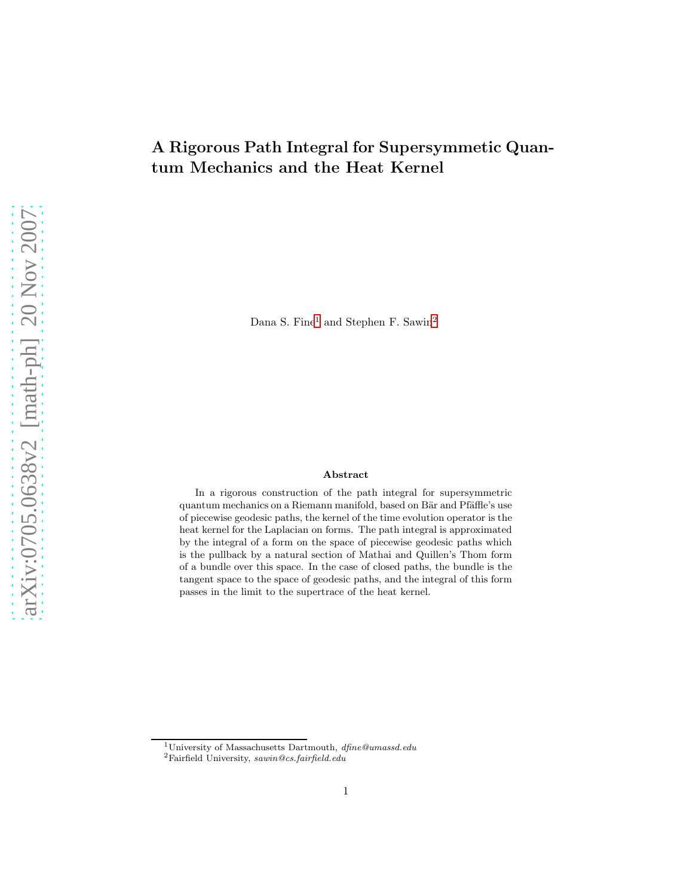# A Rigorous Path Integral for Supersymmetic Quantum Mechanics and the Heat Kernel

Dana S. Fine<sup>[1](#page-0-0)</sup> and Stephen F. Sawin<sup>[2](#page-0-1)</sup>

#### Abstract

In a rigorous construction of the path integral for supersymmetric quantum mechanics on a Riemann manifold, based on Bär and Pfäffle's use of piecewise geodesic paths, the kernel of the time evolution operator is the heat kernel for the Laplacian on forms. The path integral is approximated by the integral of a form on the space of piecewise geodesic paths which is the pullback by a natural section of Mathai and Quillen's Thom form of a bundle over this space. In the case of closed paths, the bundle is the tangent space to the space of geodesic paths, and the integral of this form passes in the limit to the supertrace of the heat kernel.

<sup>1</sup>University of Massachusetts Dartmouth, dfine@umassd.edu

<span id="page-0-1"></span><span id="page-0-0"></span> ${}^{2}$ Fairfield University, sawin@cs.fairfield.edu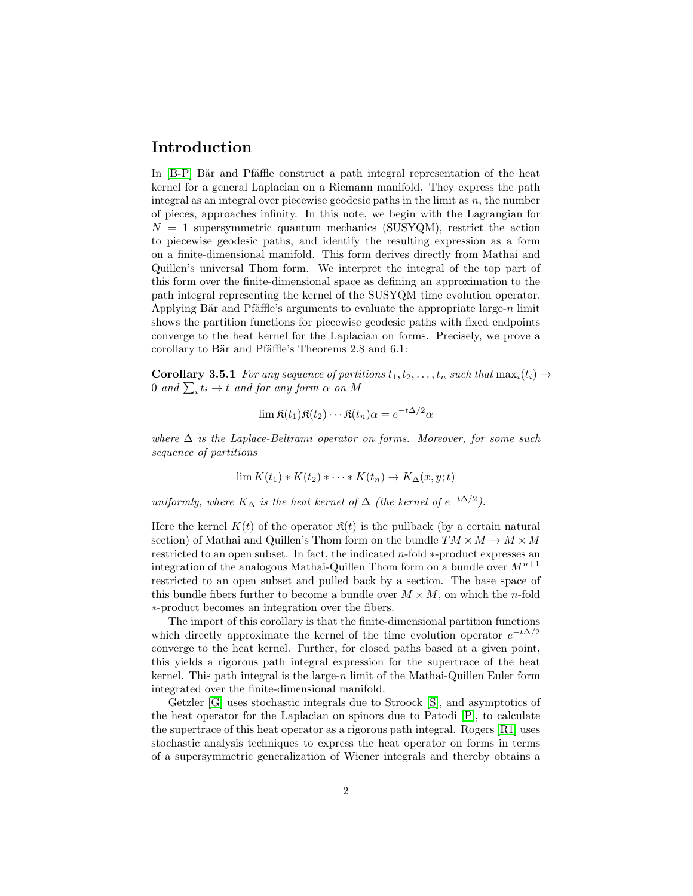## Introduction

In  $[B-P]$  Bär and Pfäffle construct a path integral representation of the heat kernel for a general Laplacian on a Riemann manifold. They express the path integral as an integral over piecewise geodesic paths in the limit as  $n$ , the number of pieces, approaches infinity. In this note, we begin with the Lagrangian for  $N = 1$  supersymmetric quantum mechanics (SUSYQM), restrict the action to piecewise geodesic paths, and identify the resulting expression as a form on a finite-dimensional manifold. This form derives directly from Mathai and Quillen's universal Thom form. We interpret the integral of the top part of this form over the finite-dimensional space as defining an approximation to the path integral representing the kernel of the SUSYQM time evolution operator. Applying Bär and Pfäffle's arguments to evaluate the appropriate large-n limit shows the partition functions for piecewise geodesic paths with fixed endpoints converge to the heat kernel for the Laplacian on forms. Precisely, we prove a corollary to Bär and Pfäffle's Theorems  $2.8$  and  $6.1$ :

**Corollary 3.5.1** *For any sequence of partitions*  $t_1, t_2, \ldots, t_n$  *such that*  $\max_i(t_i) \rightarrow$  $0$  and  $\sum_i t_i \to t$  and for any form  $\alpha$  on M

$$
\lim \mathfrak{K}(t_1)\mathfrak{K}(t_2)\cdots \mathfrak{K}(t_n)\alpha = e^{-t\Delta/2}\alpha
$$

*where* ∆ *is the Laplace-Beltrami operator on forms. Moreover, for some such sequence of partitions*

$$
\lim K(t_1) * K(t_2) * \cdots * K(t_n) \to K_{\Delta}(x, y; t)
$$

*uniformly, where*  $K_{\Delta}$  *is the heat kernel of*  $\Delta$  *(the kernel of*  $e^{-t\Delta/2}$ *).* 

Here the kernel  $K(t)$  of the operator  $\mathfrak{K}(t)$  is the pullback (by a certain natural section) of Mathai and Quillen's Thom form on the bundle  $TM \times M \to M \times M$ restricted to an open subset. In fact, the indicated n-fold ∗-product expresses an integration of the analogous Mathai-Quillen Thom form on a bundle over  $M^{n+1}$ restricted to an open subset and pulled back by a section. The base space of this bundle fibers further to become a bundle over  $M \times M$ , on which the n-fold ∗-product becomes an integration over the fibers.

The import of this corollary is that the finite-dimensional partition functions which directly approximate the kernel of the time evolution operator  $e^{-t\Delta/2}$ converge to the heat kernel. Further, for closed paths based at a given point, this yields a rigorous path integral expression for the supertrace of the heat kernel. This path integral is the large-n limit of the Mathai-Quillen Euler form integrated over the finite-dimensional manifold.

Getzler [\[G\]](#page-14-1) uses stochastic integrals due to Stroock [\[S\]](#page-14-2), and asymptotics of the heat operator for the Laplacian on spinors due to Patodi [\[P\]](#page-14-3), to calculate the supertrace of this heat operator as a rigorous path integral. Rogers [\[R1\]](#page-14-4) uses stochastic analysis techniques to express the heat operator on forms in terms of a supersymmetric generalization of Wiener integrals and thereby obtains a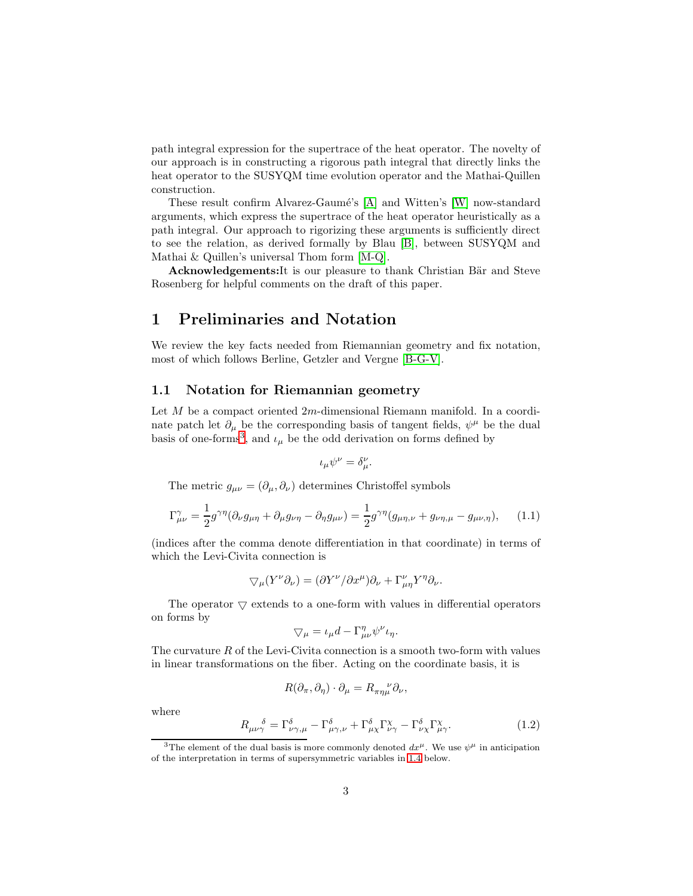path integral expression for the supertrace of the heat operator. The novelty of our approach is in constructing a rigorous path integral that directly links the heat operator to the SUSYQM time evolution operator and the Mathai-Quillen construction.

These result confirm Alvarez-Gaumé's [\[A\]](#page-14-5) and Witten's [\[W\]](#page-14-6) now-standard arguments, which express the supertrace of the heat operator heuristically as a path integral. Our approach to rigorizing these arguments is sufficiently direct to see the relation, as derived formally by Blau [\[B\]](#page-14-7), between SUSYQM and Mathai & Quillen's universal Thom form [\[M-Q\]](#page-14-8).

Acknowledgements: It is our pleasure to thank Christian Bär and Steve Rosenberg for helpful comments on the draft of this paper.

## 1 Preliminaries and Notation

We review the key facts needed from Riemannian geometry and fix notation, most of which follows Berline, Getzler and Vergne [\[B-G-V\]](#page-14-9).

#### 1.1 Notation for Riemannian geometry

Let  $M$  be a compact oriented  $2m$ -dimensional Riemann manifold. In a coordinate patch let  $\partial_{\mu}$  be the corresponding basis of tangent fields,  $\psi^{\mu}$  be the dual basis of one-forms<sup>[3](#page-2-0)</sup>, and  $\iota_{\mu}$  be the odd derivation on forms defined by

$$
\iota_\mu \psi^\nu = \delta_\mu^\nu
$$

The metric  $g_{\mu\nu} = (\partial_{\mu}, \partial_{\nu})$  determines Christoffel symbols

$$
\Gamma^{\gamma}_{\mu\nu} = \frac{1}{2} g^{\gamma\eta} (\partial_{\nu} g_{\mu\eta} + \partial_{\mu} g_{\nu\eta} - \partial_{\eta} g_{\mu\nu}) = \frac{1}{2} g^{\gamma\eta} (g_{\mu\eta,\nu} + g_{\nu\eta,\mu} - g_{\mu\nu,\eta}), \quad (1.1)
$$

.

(indices after the comma denote differentiation in that coordinate) in terms of which the Levi-Civita connection is

$$
\nabla_{\mu}(Y^{\nu}\partial_{\nu}) = (\partial Y^{\nu}/\partial x^{\mu})\partial_{\nu} + \Gamma^{\nu}_{\mu\eta}Y^{\eta}\partial_{\nu}.
$$

The operator  $\triangledown$  extends to a one-form with values in differential operators on forms by

$$
\nabla_{\mu} = \iota_{\mu} d - \Gamma^{\eta}_{\mu\nu} \psi^{\nu} \iota_{\eta}.
$$

The curvature  $R$  of the Levi-Civita connection is a smooth two-form with values in linear transformations on the fiber. Acting on the coordinate basis, it is

$$
R(\partial_{\pi}, \partial_{\eta}) \cdot \partial_{\mu} = R_{\pi \eta \mu}^{\nu} \partial_{\nu},
$$

where

$$
R_{\mu\nu\gamma}^{\qquad \delta} = \Gamma^{\delta}_{\nu\gamma,\mu} - \Gamma^{\delta}_{\mu\gamma,\nu} + \Gamma^{\delta}_{\mu\chi}\Gamma^{\chi}_{\nu\gamma} - \Gamma^{\delta}_{\nu\chi}\Gamma^{\chi}_{\mu\gamma}.\tag{1.2}
$$

<span id="page-2-0"></span><sup>&</sup>lt;sup>3</sup>The element of the dual basis is more commonly denoted  $dx^{\mu}$ . We use  $\psi^{\mu}$  in anticipation of the interpretation in terms of supersymmetric variables in [1.4](#page-4-0) below.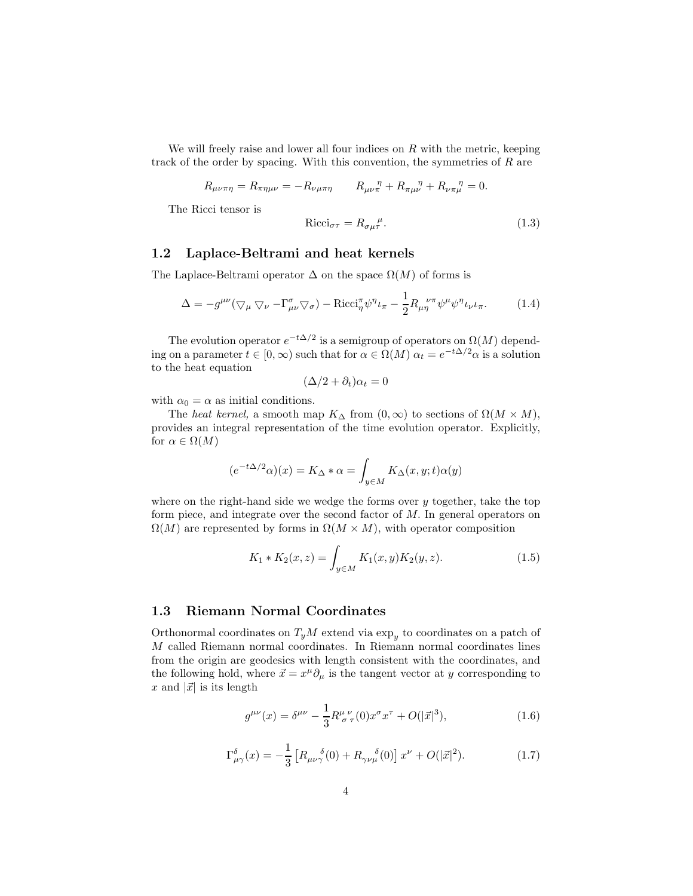We will freely raise and lower all four indices on  $R$  with the metric, keeping track of the order by spacing. With this convention, the symmetries of R are

$$
R_{\mu\nu\pi\eta} = R_{\pi\eta\mu\nu} = -R_{\nu\mu\pi\eta} \qquad R_{\mu\nu\pi}^{\quad \eta} + R_{\pi\mu\nu}^{\quad \eta} + R_{\nu\pi\mu}^{\quad \eta} = 0.
$$

The Ricci tensor is

$$
Ricci_{\sigma\tau} = R_{\sigma\mu\tau}^{\mu}.
$$
\n(1.3)

#### 1.2 Laplace-Beltrami and heat kernels

The Laplace-Beltrami operator  $\Delta$  on the space  $\Omega(M)$  of forms is

<span id="page-3-0"></span>
$$
\Delta = -g^{\mu\nu} (\nabla_{\mu} \nabla_{\nu} - \Gamma^{\sigma}_{\mu\nu} \nabla_{\sigma}) - \text{Ricci}_{\eta}^{\pi} \psi^{\eta} \iota_{\pi} - \frac{1}{2} R_{\mu\eta}^{\nu\pi} \psi^{\mu} \psi^{\eta} \iota_{\nu} \iota_{\pi}.
$$
 (1.4)

The evolution operator  $e^{-t\Delta/2}$  is a semigroup of operators on  $\Omega(M)$  depending on a parameter  $t \in [0, \infty)$  such that for  $\alpha \in \Omega(M)$   $\alpha_t = e^{-t\Delta/2} \alpha$  is a solution to the heat equation

$$
(\Delta/2 + \partial_t)\alpha_t = 0
$$

with  $\alpha_0 = \alpha$  as initial conditions.

The *heat kernel*, a smooth map  $K_{\Delta}$  from  $(0, \infty)$  to sections of  $\Omega(M \times M)$ , provides an integral representation of the time evolution operator. Explicitly, for  $\alpha \in \Omega(M)$ 

$$
(e^{-t\Delta/2}\alpha)(x) = K_{\Delta} * \alpha = \int_{y \in M} K_{\Delta}(x, y; t)\alpha(y)
$$

where on the right-hand side we wedge the forms over  $y$  together, take the top form piece, and integrate over the second factor of M. In general operators on  $\Omega(M)$  are represented by forms in  $\Omega(M \times M)$ , with operator composition

$$
K_1 * K_2(x, z) = \int_{y \in M} K_1(x, y) K_2(y, z). \tag{1.5}
$$

#### 1.3 Riemann Normal Coordinates

Orthonormal coordinates on  $T_yM$  extend via  $\exp_y$  to coordinates on a patch of M called Riemann normal coordinates. In Riemann normal coordinates lines from the origin are geodesics with length consistent with the coordinates, and the following hold, where  $\vec{x} = x^{\mu} \partial_{\mu}$  is the tangent vector at y corresponding to x and  $|\vec{x}|$  is its length

$$
g^{\mu\nu}(x) = \delta^{\mu\nu} - \frac{1}{3} R^{\mu \ \nu}_{\ \sigma \ \tau}(0) x^{\sigma} x^{\tau} + O(|\vec{x}|^3), \tag{1.6}
$$

$$
\Gamma^{\delta}_{\mu\gamma}(x) = -\frac{1}{3} \left[ R_{\mu\nu\gamma}{}^{\delta}(0) + R_{\gamma\nu\mu}{}^{\delta}(0) \right] x^{\nu} + O(|\vec{x}|^2). \tag{1.7}
$$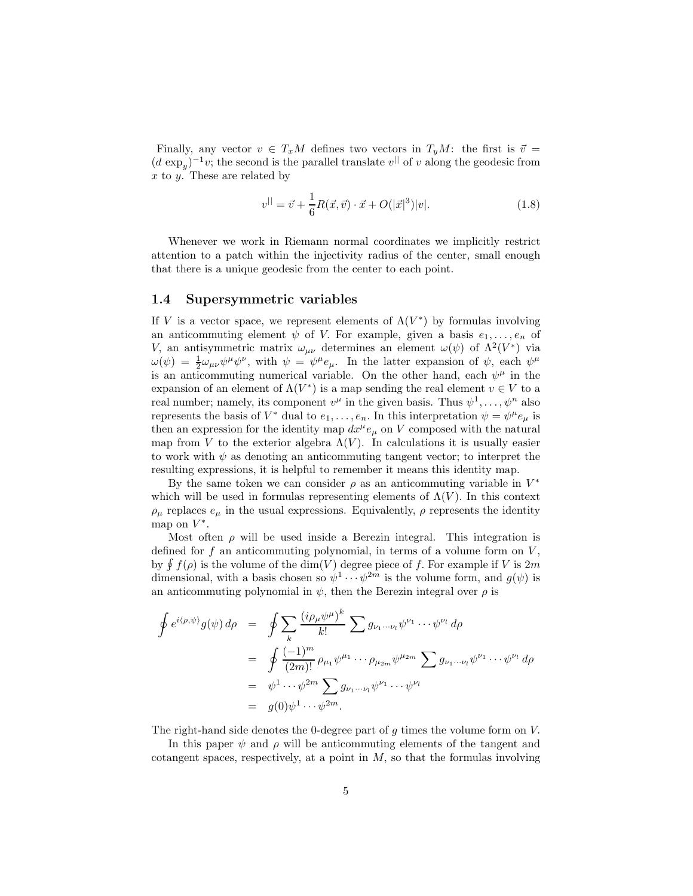Finally, any vector  $v \in T_xM$  defines two vectors in  $T_yM$ : the first is  $\vec{v} =$  $(d \exp_y)^{-1}v$ ; the second is the parallel translate  $v^{||}$  of v along the geodesic from  $x$  to  $y$ . These are related by

<span id="page-4-1"></span>
$$
v^{||} = \vec{v} + \frac{1}{6}R(\vec{x}, \vec{v}) \cdot \vec{x} + O(|\vec{x}|^3)|v|.
$$
 (1.8)

Whenever we work in Riemann normal coordinates we implicitly restrict attention to a patch within the injectivity radius of the center, small enough that there is a unique geodesic from the center to each point.

#### <span id="page-4-0"></span>1.4 Supersymmetric variables

If V is a vector space, we represent elements of  $\Lambda(V^*)$  by formulas involving an anticommuting element  $\psi$  of V. For example, given a basis  $e_1, \ldots, e_n$  of V, an antisymmetric matrix  $\omega_{\mu\nu}$  determines an element  $\omega(\psi)$  of  $\Lambda^2(V^*)$  via  $\omega(\psi) = \frac{1}{2}\omega_{\mu\nu}\psi^{\mu}\psi^{\nu}$ , with  $\psi = \psi^{\mu}e_{\mu}$ . In the latter expansion of  $\psi$ , each  $\psi^{\mu}$ is an anticommuting numerical variable. On the other hand, each  $\psi^{\mu}$  in the expansion of an element of  $\Lambda(V^*)$  is a map sending the real element  $v \in V$  to a real number; namely, its component  $v^{\mu}$  in the given basis. Thus  $\psi^1, \ldots, \psi^n$  also represents the basis of  $V^*$  dual to  $e_1, \ldots, e_n$ . In this interpretation  $\psi = \psi^\mu e_\mu$  is then an expression for the identity map  $dx^{\mu}e_{\mu}$  on V composed with the natural map from V to the exterior algebra  $\Lambda(V)$ . In calculations it is usually easier to work with  $\psi$  as denoting an anticommuting tangent vector; to interpret the resulting expressions, it is helpful to remember it means this identity map.

By the same token we can consider  $\rho$  as an anticommuting variable in  $V^*$ which will be used in formulas representing elements of  $\Lambda(V)$ . In this context  $\rho_{\mu}$  replaces  $e_{\mu}$  in the usual expressions. Equivalently,  $\rho$  represents the identity map on  $V^*$ .

Most often  $\rho$  will be used inside a Berezin integral. This integration is defined for f an anticommuting polynomial, in terms of a volume form on  $V$ , by  $\oint f(\rho)$  is the volume of the dim(V) degree piece of f. For example if V is 2m dimensional, with a basis chosen so  $\psi^1 \cdots \psi^{2m}$  is the volume form, and  $g(\psi)$  is an anticommuting polynomial in  $\psi$ , then the Berezin integral over  $\rho$  is

$$
\oint e^{i\langle \rho,\psi \rangle} g(\psi) d\rho = \oint \sum_{k} \frac{(i\rho_{\mu}\psi^{\mu})^{k}}{k!} \sum g_{\nu_{1}\cdots\nu_{l}} \psi^{\nu_{1}} \cdots \psi^{\nu_{l}} d\rho
$$
\n
$$
= \oint \frac{(-1)^{m}}{(2m)!} \rho_{\mu_{1}} \psi^{\mu_{1}} \cdots \rho_{\mu_{2m}} \psi^{\mu_{2m}} \sum g_{\nu_{1}\cdots\nu_{l}} \psi^{\nu_{1}} \cdots \psi^{\nu_{l}} d\rho
$$
\n
$$
= \psi^{1} \cdots \psi^{2m} \sum_{j} g_{\nu_{1}\cdots\nu_{l}} \psi^{\nu_{1}} \cdots \psi^{\nu_{l}}
$$
\n
$$
= g(0)\psi^{1} \cdots \psi^{2m}.
$$

The right-hand side denotes the 0-degree part of g times the volume form on V.

In this paper  $\psi$  and  $\rho$  will be anticommuting elements of the tangent and cotangent spaces, respectively, at a point in  $M$ , so that the formulas involving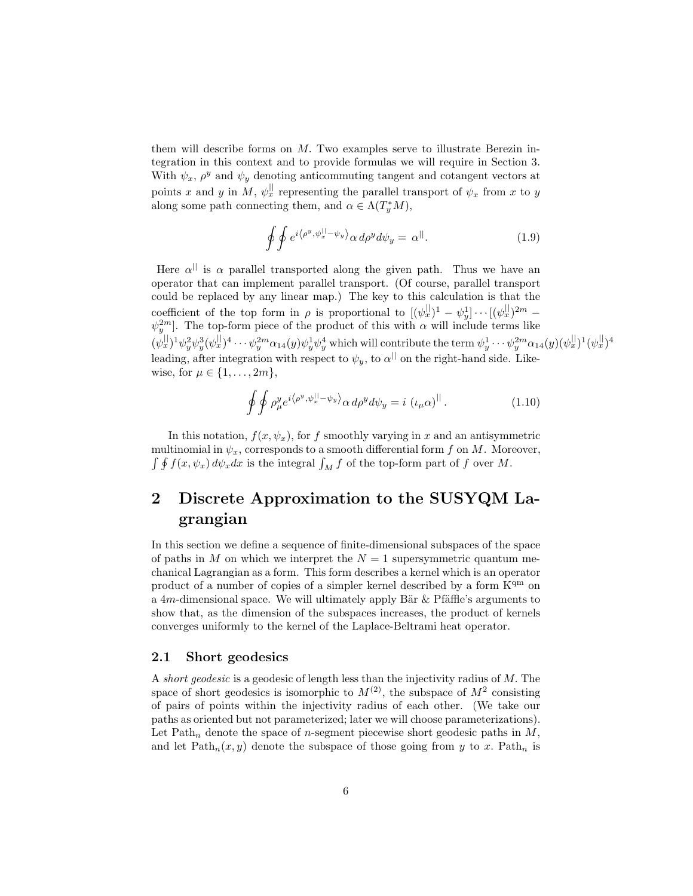them will describe forms on M. Two examples serve to illustrate Berezin integration in this context and to provide formulas we will require in Section 3. With  $\psi_x$ ,  $\rho^y$  and  $\psi_y$  denoting anticommuting tangent and cotangent vectors at points x and y in M,  $\psi_x^{\parallel}$  representing the parallel transport of  $\psi_x$  from x to y along some path connecting them, and  $\alpha \in \Lambda(T_y^*M)$ ,

<span id="page-5-0"></span>
$$
\oint \oint e^{i\langle \rho^y, \psi_x^{||} - \psi_y \rangle} \alpha \, d\rho^y d\psi_y = \alpha^{||}. \tag{1.9}
$$

Here  $\alpha^{||}$  is  $\alpha$  parallel transported along the given path. Thus we have an operator that can implement parallel transport. (Of course, parallel transport could be replaced by any linear map.) The key to this calculation is that the coefficient of the top form in  $\rho$  is proportional to  $[(\psi_x^{\parallel}]^1 - \psi_y^1] \cdots [(\psi_x^{\parallel}]^{2m} \psi_j^{2m}$ . The top-form piece of the product of this with  $\alpha$  will include terms like  $(\psi_x^{\parallel})^1 \psi_y^2 \psi_y^3 (\psi_x^{\parallel})^4 \cdots \psi_y^{2m} \alpha_{14}(y) \psi_y^1 \psi_y^4$  which will contribute the term  $\psi_y^1 \cdots \psi_y^{2m} \alpha_{14}(y) (\psi_x^{\parallel})^1 (\psi_x^{\parallel})^4$ leading, after integration with respect to  $\psi_y$ , to  $\alpha^{||}$  on the right-hand side. Likewise, for  $\mu \in \{1, \ldots, 2m\},\$ 

<span id="page-5-1"></span>
$$
\oint \oint \rho_{\mu}^{y} e^{i \langle \rho^{y}, \psi_{x}^{||} - \psi_{y} \rangle} \alpha \, d\rho^{y} d\psi_{y} = i \left( \iota_{\mu} \alpha \right)^{||}.
$$
\n(1.10)

In this notation,  $f(x, \psi_x)$ , for f smoothly varying in x and an antisymmetric multinomial in  $\psi_x$ , corresponds to a smooth differential form f on M. Moreover,  $\int \oint f(x, \psi_x) d\psi_x dx$  is the integral  $\int_M f$  of the top-form part of f over M.

## 2 Discrete Approximation to the SUSYQM Lagrangian

In this section we define a sequence of finite-dimensional subspaces of the space of paths in M on which we interpret the  $N = 1$  supersymmetric quantum mechanical Lagrangian as a form. This form describes a kernel which is an operator product of a number of copies of a simpler kernel described by a form  $K<sup>qm</sup>$  on a 4m-dimensional space. We will ultimately apply Bär  $\&$  Pfäffle's arguments to show that, as the dimension of the subspaces increases, the product of kernels converges uniformly to the kernel of the Laplace-Beltrami heat operator.

#### 2.1 Short geodesics

A *short geodesic* is a geodesic of length less than the injectivity radius of M. The space of short geodesics is isomorphic to  $M^{(2)}$ , the subspace of  $M^2$  consisting of pairs of points within the injectivity radius of each other. (We take our paths as oriented but not parameterized; later we will choose parameterizations). Let Path<sub>n</sub> denote the space of *n*-segment piecewise short geodesic paths in  $M$ , and let  $\text{Path}_n(x, y)$  denote the subspace of those going from y to x.  $\text{Path}_n$  is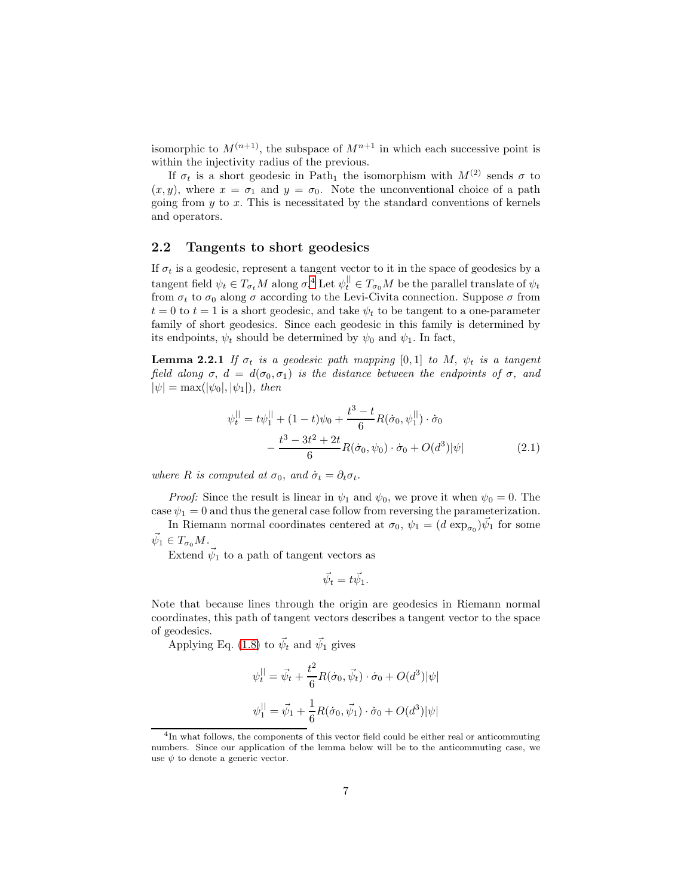isomorphic to  $M^{(n+1)}$ , the subspace of  $M^{n+1}$  in which each successive point is within the injectivity radius of the previous.

If  $\sigma_t$  is a short geodesic in Path<sub>1</sub> the isomorphism with  $M^{(2)}$  sends  $\sigma$  to  $(x, y)$ , where  $x = \sigma_1$  and  $y = \sigma_0$ . Note the unconventional choice of a path going from  $y$  to  $x$ . This is necessitated by the standard conventions of kernels and operators.

#### 2.2 Tangents to short geodesics

If  $\sigma_t$  is a geodesic, represent a tangent vector to it in the space of geodesics by a tangent field  $\psi_t \in T_{\sigma_t} M$  along  $\sigma$ .<sup>[4](#page-6-0)</sup> Let  $\psi_t^{\parallel} \in T_{\sigma_0} M$  be the parallel translate of  $\psi_t$ from  $\sigma_t$  to  $\sigma_0$  along  $\sigma$  according to the Levi-Civita connection. Suppose  $\sigma$  from  $t = 0$  to  $t = 1$  is a short geodesic, and take  $\psi_t$  to be tangent to a one-parameter family of short geodesics. Since each geodesic in this family is determined by its endpoints,  $\psi_t$  should be determined by  $\psi_0$  and  $\psi_1$ . In fact,

**Lemma 2.2.1** *If*  $\sigma_t$  *is a geodesic path mapping* [0,1] *to M*,  $\psi_t$  *is a tangent field along*  $\sigma$ ,  $d = d(\sigma_0, \sigma_1)$  *is the distance between the endpoints of*  $\sigma$ *, and*  $|\psi| = \max(|\psi_0|, |\psi_1|)$ *, then* 

<span id="page-6-2"></span>
$$
\psi_t^{||} = t\psi_1^{||} + (1-t)\psi_0 + \frac{t^3 - t}{6}R(\dot{\sigma}_0, \psi_1^{||}) \cdot \dot{\sigma}_0 - \frac{t^3 - 3t^2 + 2t}{6}R(\dot{\sigma}_0, \psi_0) \cdot \dot{\sigma}_0 + O(d^3)|\psi|
$$
(2.1)

*where R is computed at*  $\sigma_0$ *, and*  $\dot{\sigma}_t = \partial_t \sigma_t$ *.* 

*Proof:* Since the result is linear in  $\psi_1$  and  $\psi_0$ , we prove it when  $\psi_0 = 0$ . The case  $\psi_1 = 0$  and thus the general case follow from reversing the parameterization.

In Riemann normal coordinates centered at  $\sigma_0$ ,  $\psi_1 = (d \exp_{\sigma_0}) \vec{\psi}_1$  for some  $\vec{\psi}_1 \in T_{\sigma_0} M$ .

Extend  $\vec{\psi}_1$  to a path of tangent vectors as

<span id="page-6-1"></span>
$$
\vec{\psi}_t = t\vec{\psi}_1.
$$

Note that because lines through the origin are geodesics in Riemann normal coordinates, this path of tangent vectors describes a tangent vector to the space of geodesics.

Applying Eq. [\(1.8\)](#page-4-1) to  $\vec{\psi}_t$  and  $\vec{\psi}_1$  gives

$$
\psi_t^{||} = \vec{\psi}_t + \frac{t^2}{6} R(\dot{\sigma}_0, \vec{\psi}_t) \cdot \dot{\sigma}_0 + O(d^3) |\psi|
$$
  

$$
\psi_1^{||} = \vec{\psi}_1 + \frac{1}{6} R(\dot{\sigma}_0, \vec{\psi}_1) \cdot \dot{\sigma}_0 + O(d^3) |\psi|
$$

<span id="page-6-0"></span><sup>&</sup>lt;sup>4</sup>In what follows, the components of this vector field could be either real or anticommuting numbers. Since our application of the lemma below will be to the anticommuting case, we use  $\psi$  to denote a generic vector.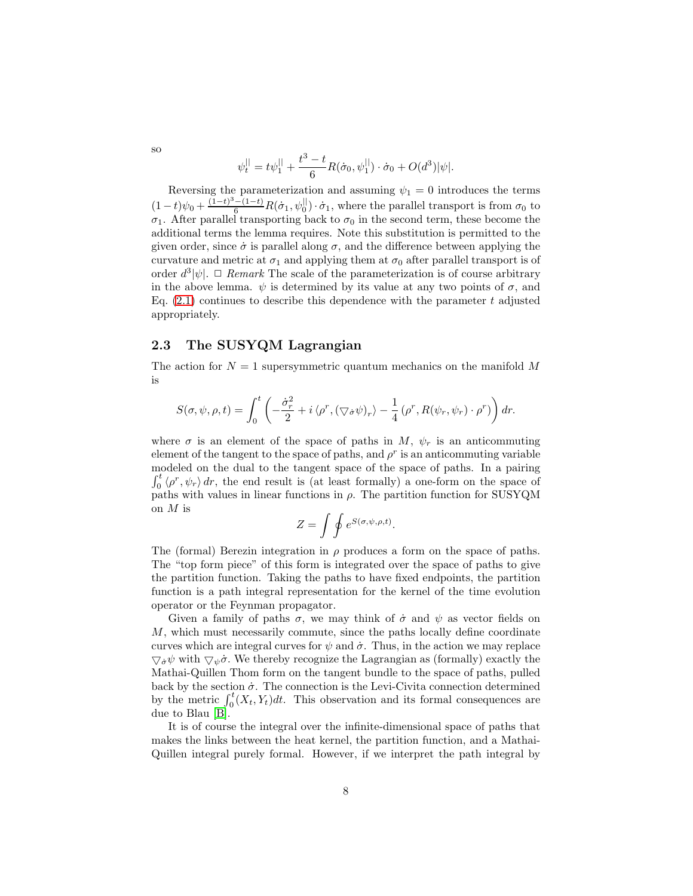$$
\psi_t^{||} = t\psi_1^{||} + \frac{t^3 - t}{6}R(\dot{\sigma}_0, \psi_1^{||}) \cdot \dot{\sigma}_0 + O(d^3)|\psi|.
$$

Reversing the parameterization and assuming  $\psi_1 = 0$  introduces the terms  $(1-t)\psi_0 + \frac{(1-t)^3-(1-t)}{6}R(\dot{\sigma}_1, \psi_0^{||}) \cdot \dot{\sigma}_1$ , where the parallel transport is from  $\sigma_0$  to  $\sigma_1$ . After parallel transporting back to  $\sigma_0$  in the second term, these become the additional terms the lemma requires. Note this substitution is permitted to the given order, since  $\dot{\sigma}$  is parallel along  $\sigma$ , and the difference between applying the curvature and metric at  $\sigma_1$  and applying them at  $\sigma_0$  after parallel transport is of order  $d^3|\psi|$ .  $\Box$  *Remark* The scale of the parameterization is of course arbitrary in the above lemma.  $\psi$  is determined by its value at any two points of  $\sigma$ , and Eq.  $(2.1)$  continues to describe this dependence with the parameter t adjusted appropriately.

### 2.3 The SUSYQM Lagrangian

The action for  $N = 1$  supersymmetric quantum mechanics on the manifold M is

$$
S(\sigma, \psi, \rho, t) = \int_0^t \left( -\frac{\dot{\sigma}_r^2}{2} + i \langle \rho^r, (\nabla \dot{\sigma} \psi)_r \rangle - \frac{1}{4} (\rho^r, R(\psi_r, \psi_r) \cdot \rho^r) \right) dr.
$$

where  $\sigma$  is an element of the space of paths in M,  $\psi_r$  is an anticommuting element of the tangent to the space of paths, and  $\rho^r$  is an anticommuting variable modeled on the dual to the tangent space of the space of paths. In a pairing  $\int_0^t \langle \rho^r, \psi_r \rangle dr$ , the end result is (at least formally) a one-form on the space of paths with values in linear functions in  $\rho$ . The partition function for SUSYQM on  $M$  is

$$
Z = \int \oint e^{S(\sigma, \psi, \rho, t)}.
$$

The (formal) Berezin integration in  $\rho$  produces a form on the space of paths. The "top form piece" of this form is integrated over the space of paths to give the partition function. Taking the paths to have fixed endpoints, the partition function is a path integral representation for the kernel of the time evolution operator or the Feynman propagator.

Given a family of paths  $\sigma$ , we may think of  $\dot{\sigma}$  and  $\psi$  as vector fields on M, which must necessarily commute, since the paths locally define coordinate curves which are integral curves for  $\psi$  and  $\dot{\sigma}$ . Thus, in the action we may replace  $\nabla_{\dot{\sigma}} \psi$  with  $\nabla_{\psi} \dot{\sigma}$ . We thereby recognize the Lagrangian as (formally) exactly the Mathai-Quillen Thom form on the tangent bundle to the space of paths, pulled back by the section  $\dot{\sigma}$ . The connection is the Levi-Civita connection determined by the metric  $\int_0^t (X_t, Y_t) dt$ . This observation and its formal consequences are due to Blau [\[B\]](#page-14-7).

It is of course the integral over the infinite-dimensional space of paths that makes the links between the heat kernel, the partition function, and a Mathai-Quillen integral purely formal. However, if we interpret the path integral by

so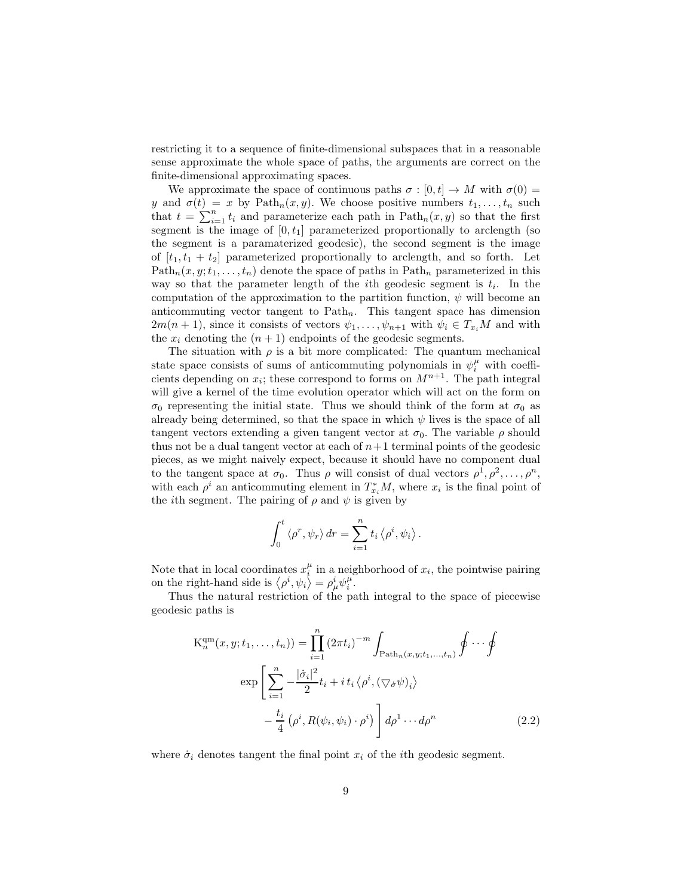restricting it to a sequence of finite-dimensional subspaces that in a reasonable sense approximate the whole space of paths, the arguments are correct on the finite-dimensional approximating spaces.

We approximate the space of continuous paths  $\sigma : [0, t] \to M$  with  $\sigma(0) =$ y and  $\sigma(t) = x$  by Path<sub>n</sub> $(x, y)$ . We choose positive numbers  $t_1, \ldots, t_n$  such that  $t = \sum_{i=1}^{n} t_i$  and parameterize each path in  $\text{Path}_n(x, y)$  so that the first segment is the image of  $[0, t_1]$  parameterized proportionally to arclength (so the segment is a paramaterized geodesic), the second segment is the image of  $[t_1, t_1 + t_2]$  parameterized proportionally to arclength, and so forth. Let  $Path_n(x, y; t_1, \ldots, t_n)$  denote the space of paths in  $Path_n$  parameterized in this way so that the parameter length of the *i*th geodesic segment is  $t_i$ . In the computation of the approximation to the partition function,  $\psi$  will become an anticommuting vector tangent to  $Path<sub>n</sub>$ . This tangent space has dimension  $2m(n + 1)$ , since it consists of vectors  $\psi_1, \ldots, \psi_{n+1}$  with  $\psi_i \in T_{x_i}M$  and with the  $x_i$  denoting the  $(n + 1)$  endpoints of the geodesic segments.

The situation with  $\rho$  is a bit more complicated: The quantum mechanical state space consists of sums of anticommuting polynomials in  $\psi_i^{\mu}$  with coefficients depending on  $x_i$ ; these correspond to forms on  $M^{n+1}$ . The path integral will give a kernel of the time evolution operator which will act on the form on  $\sigma_0$  representing the initial state. Thus we should think of the form at  $\sigma_0$  as already being determined, so that the space in which  $\psi$  lives is the space of all tangent vectors extending a given tangent vector at  $\sigma_0$ . The variable  $\rho$  should thus not be a dual tangent vector at each of  $n+1$  terminal points of the geodesic pieces, as we might naively expect, because it should have no component dual to the tangent space at  $\sigma_0$ . Thus  $\rho$  will consist of dual vectors  $\rho^1, \rho^2, \ldots, \rho^n$ , with each  $\rho^i$  an anticommuting element in  $T^*_{x_i}M$ , where  $x_i$  is the final point of the *i*th segment. The pairing of  $\rho$  and  $\psi$  is given by

<span id="page-8-0"></span>
$$
\int_0^t \langle \rho^r, \psi_r \rangle dr = \sum_{i=1}^n t_i \langle \rho^i, \psi_i \rangle.
$$

Note that in local coordinates  $x_i^{\mu}$  in a neighborhood of  $x_i$ , the pointwise pairing on the right-hand side is  $\langle \rho^i, \psi_i \rangle = \rho^i_\mu \psi^\mu_i$ .

Thus the natural restriction of the path integral to the space of piecewise geodesic paths is

$$
K_n^{qm}(x, y; t_1, \dots, t_n)) = \prod_{i=1}^n (2\pi t_i)^{-m} \int_{\text{Path}_n(x, y; t_1, \dots, t_n)} \oint \cdots \oint
$$

$$
\exp\left[\sum_{i=1}^n -\frac{|\dot{\sigma}_i|^2}{2} t_i + i t_i \langle \rho^i, (\nabla_{\dot{\sigma}} \psi)_i \rangle -\frac{t_i}{4} (\rho^i, R(\psi_i, \psi_i) \cdot \rho^i) \right] d\rho^1 \cdots d\rho^n \qquad (2.2)
$$

where  $\dot{\sigma}_i$  denotes tangent the final point  $x_i$  of the *i*th geodesic segment.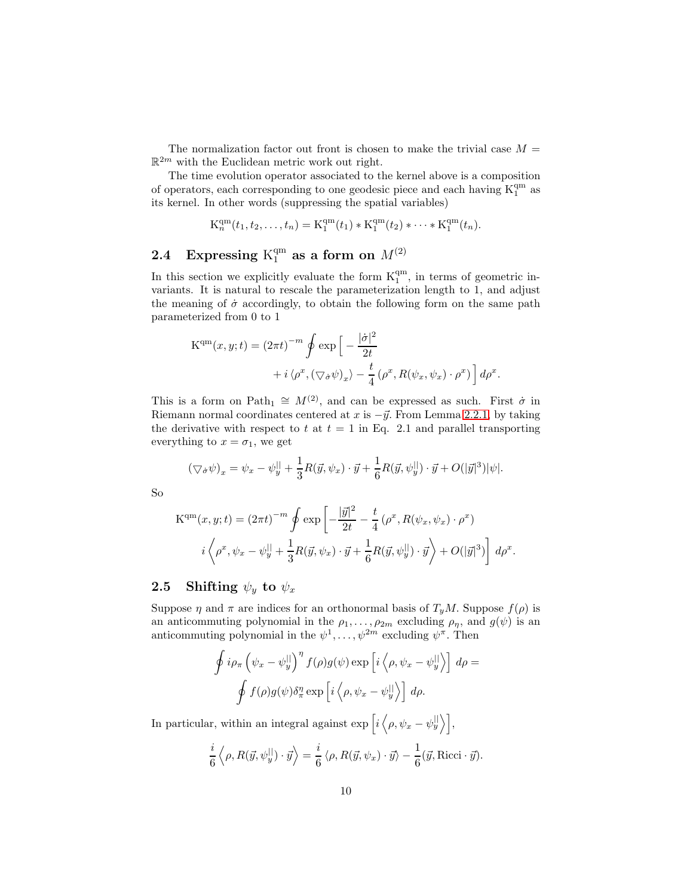The normalization factor out front is chosen to make the trivial case  $M =$  $\mathbb{R}^{2m}$  with the Euclidean metric work out right.

The time evolution operator associated to the kernel above is a composition of operators, each corresponding to one geodesic piece and each having  $\mathrm{K}_1^{\mathrm{qm}}$  as its kernel. In other words (suppressing the spatial variables)

$$
K_n^{qm}(t_1, t_2, \dots, t_n) = K_1^{qm}(t_1) * K_1^{qm}(t_2) * \dots * K_1^{qm}(t_n).
$$

# 2.4 Expressing  $K_1^{\text{qm}}$  as a form on  $M^{(2)}$

In this section we explicitly evaluate the form  $K_1^{\text{qm}}$ , in terms of geometric invariants. It is natural to rescale the parameterization length to 1, and adjust the meaning of  $\dot{\sigma}$  accordingly, to obtain the following form on the same path parameterized from 0 to 1

$$
\begin{aligned} \mathcal{K}^{\mathbf{qm}}(x,y;t) &= (2\pi t)^{-m} \oint \exp\Big[-\frac{|\dot{\sigma}|^2}{2t} \\ &+ i \left\langle \rho^x, \left(\nabla \dot{\sigma} \psi\right)_x \right\rangle - \frac{t}{4} \left(\rho^x, R(\psi_x, \psi_x) \cdot \rho^x\right) \Big] \, d\rho^x. \end{aligned}
$$

This is a form on Path<sub>1</sub>  $\cong M^{(2)}$ , and can be expressed as such. First  $\dot{\sigma}$  in Riemann normal coordinates centered at x is  $-\vec{y}$ . From Lemma [2.2.1,](#page-6-2) by taking the derivative with respect to t at  $t = 1$  in Eq. 2.1 and parallel transporting everything to  $x = \sigma_1$ , we get

$$
(\nabla_{\dot{\sigma}} \psi)_x = \psi_x - \psi_y^{\parallel} + \frac{1}{3} R(\vec{y}, \psi_x) \cdot \vec{y} + \frac{1}{6} R(\vec{y}, \psi_y^{\parallel}) \cdot \vec{y} + O(|\vec{y}|^3) |\psi|.
$$

So

$$
\mathbf{K}^{\mathbf{q}\mathbf{m}}(x, y; t) = (2\pi t)^{-m} \oint \exp\left[-\frac{|\vec{y}|^2}{2t} - \frac{t}{4} \left(\rho^x, R(\psi_x, \psi_x) \cdot \rho^x\right)\right]
$$

$$
i \left\langle \rho^x, \psi_x - \psi_y^{\parallel} + \frac{1}{3} R(\vec{y}, \psi_x) \cdot \vec{y} + \frac{1}{6} R(\vec{y}, \psi_y^{\parallel}) \cdot \vec{y} \right\rangle + O(|\vec{y}|^3) \right] d\rho^x.
$$

## 2.5 Shifting  $\psi_y$  to  $\psi_x$

Suppose  $\eta$  and  $\pi$  are indices for an orthonormal basis of  $T_uM$ . Suppose  $f(\rho)$  is an anticommuting polynomial in the  $\rho_1, \ldots, \rho_{2m}$  excluding  $\rho_{\eta}$ , and  $g(\psi)$  is an anticommuting polynomial in the  $\psi^1, \ldots, \psi^{2m}$  excluding  $\psi^{\pi}$ . Then

$$
\oint i\rho_{\pi} \left( \psi_{x} - \psi_{y}^{\parallel} \right)^{\eta} f(\rho)g(\psi) \exp \left[ i \left\langle \rho, \psi_{x} - \psi_{y}^{\parallel} \right\rangle \right] d\rho =
$$
\n
$$
\oint f(\rho)g(\psi) \delta_{\pi}^{\eta} \exp \left[ i \left\langle \rho, \psi_{x} - \psi_{y}^{\parallel} \right\rangle \right] d\rho.
$$

In particular, within an integral against  $\exp\left[i\left\langle \rho, \psi_x - \psi_y^{\parallel} \right\rangle\right]$ ,

$$
\frac{i}{6}\left\langle \rho, R(\vec{y}, \psi_y^{\parallel}) \cdot \vec{y} \right\rangle = \frac{i}{6} \left\langle \rho, R(\vec{y}, \psi_x) \cdot \vec{y} \right\rangle - \frac{1}{6} (\vec{y}, \text{Ricci} \cdot \vec{y}).
$$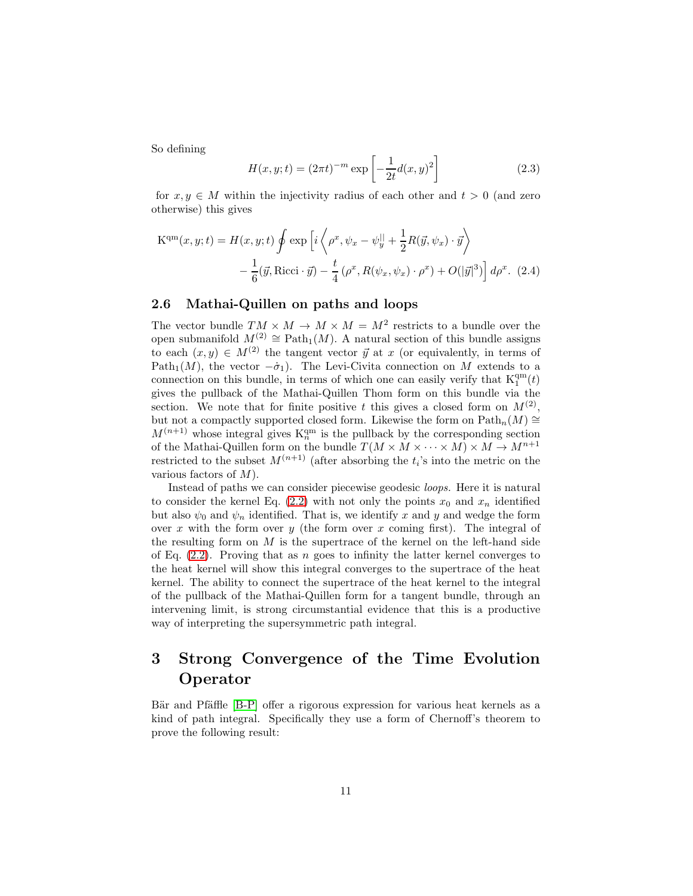So defining

<span id="page-10-0"></span>
$$
H(x, y; t) = (2\pi t)^{-m} \exp\left[-\frac{1}{2t}d(x, y)^{2}\right]
$$
 (2.3)

for  $x, y \in M$  within the injectivity radius of each other and  $t > 0$  (and zero otherwise) this gives

$$
\mathbf{K}^{\mathbf{q}\mathbf{m}}(x, y; t) = H(x, y; t) \oint \exp\left[i\left\langle \rho^x, \psi_x - \psi_y^{\parallel} + \frac{1}{2}R(\vec{y}, \psi_x) \cdot \vec{y} \right\rangle \right] - \frac{1}{6}(\vec{y}, \text{Ricci} \cdot \vec{y}) - \frac{t}{4}(\rho^x, R(\psi_x, \psi_x) \cdot \rho^x) + O(|\vec{y}|^3) \right] d\rho^x. (2.4)
$$

#### 2.6 Mathai-Quillen on paths and loops

The vector bundle  $TM \times M \to M \times M = M^2$  restricts to a bundle over the open submanifold  $M^{(2)} \cong \text{Path}_1(M)$ . A natural section of this bundle assigns to each  $(x, y) \in M^{(2)}$  the tangent vector  $\vec{y}$  at x (or equivalently, in terms of Path<sub>1</sub>(M), the vector  $-\dot{\sigma}_1$ ). The Levi-Civita connection on M extends to a connection on this bundle, in terms of which one can easily verify that  $K_1^{\text{qm}}(t)$ gives the pullback of the Mathai-Quillen Thom form on this bundle via the section. We note that for finite positive t this gives a closed form on  $M^{(2)}$ , but not a compactly supported closed form. Likewise the form on  $\mathrm{Path}_n(M) \cong$  $M^{(n+1)}$  whose integral gives  $K_n^{\text{qm}}$  is the pullback by the corresponding section of the Mathai-Quillen form on the bundle  $T(M \times M \times \cdots \times M) \times M \rightarrow M^{n+1}$ restricted to the subset  $M^{(n+1)}$  (after absorbing the  $t_i$ 's into the metric on the various factors of  $M$ ).

Instead of paths we can consider piecewise geodesic *loops.* Here it is natural to consider the kernel Eq. [\(2.2\)](#page-8-0) with not only the points  $x_0$  and  $x_n$  identified but also  $\psi_0$  and  $\psi_n$  identified. That is, we identify x and y and wedge the form over x with the form over y (the form over x coming first). The integral of the resulting form on  $M$  is the supertrace of the kernel on the left-hand side of Eq.  $(2.2)$ . Proving that as n goes to infinity the latter kernel converges to the heat kernel will show this integral converges to the supertrace of the heat kernel. The ability to connect the supertrace of the heat kernel to the integral of the pullback of the Mathai-Quillen form for a tangent bundle, through an intervening limit, is strong circumstantial evidence that this is a productive way of interpreting the supersymmetric path integral.

## 3 Strong Convergence of the Time Evolution Operator

<span id="page-10-1"></span>Bär and Pfäffle [\[B-P\]](#page-14-0) offer a rigorous expression for various heat kernels as a kind of path integral. Specifically they use a form of Chernoff's theorem to prove the following result: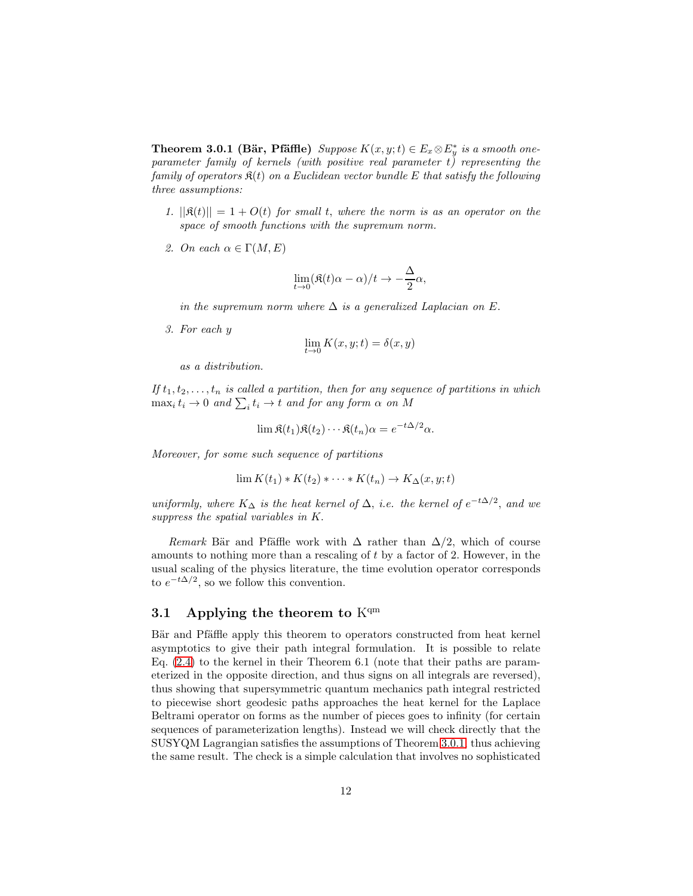**Theorem 3.0.1 (Bär, Pfäffle)** *Suppose*  $K(x, y; t) \in E_x \otimes E_y^*$  *is a smooth oneparameter family of kernels (with positive real parameter* t*) representing the family of operators* K(t) *on a Euclidean vector bundle* E *that satisfy the following three assumptions:*

- *1.*  $||\mathfrak{K}(t)|| = 1 + O(t)$  *for small t, where the norm is as an operator on the space of smooth functions with the supremum norm.*
- *2. On each*  $\alpha \in \Gamma(M, E)$

$$
\lim_{t \to 0} (\Re(t)\alpha - \alpha)/t \to -\frac{\Delta}{2}\alpha,
$$

*in the supremum norm where* ∆ *is a generalized Laplacian on* E.

*3. For each* y

$$
\lim_{t\to 0} K(x,y;t)=\delta(x,y)
$$

*as a distribution.*

If  $t_1, t_2, \ldots, t_n$  *is called a partition, then for any sequence of partitions in which*  $\max_i t_i \to 0$  and  $\sum_i t_i \to t$  and for any form  $\alpha$  on M

$$
\lim \mathfrak{K}(t_1)\mathfrak{K}(t_2)\cdots \mathfrak{K}(t_n)\alpha = e^{-t\Delta/2}\alpha.
$$

*Moreover, for some such sequence of partitions*

$$
\lim K(t_1) * K(t_2) * \cdots * K(t_n) \to K_{\Delta}(x, y; t)
$$

*uniformly, where*  $K_{\Delta}$  *is the heat kernel of*  $\Delta$ *, i.e. the kernel of*  $e^{-t\Delta/2}$ *, and we suppress the spatial variables in* K.

*Remark* Bär and Pfäffle work with  $\Delta$  rather than  $\Delta/2$ , which of course amounts to nothing more than a rescaling of t by a factor of 2. However, in the usual scaling of the physics literature, the time evolution operator corresponds to  $e^{-t\Delta/2}$ , so we follow this convention.

#### 3.1 Applying the theorem to  $K<sup>qm</sup>$

Bär and Pfäffle apply this theorem to operators constructed from heat kernel asymptotics to give their path integral formulation. It is possible to relate Eq. [\(2.4\)](#page-10-0) to the kernel in their Theorem 6.1 (note that their paths are parameterized in the opposite direction, and thus signs on all integrals are reversed), thus showing that supersymmetric quantum mechanics path integral restricted to piecewise short geodesic paths approaches the heat kernel for the Laplace Beltrami operator on forms as the number of pieces goes to infinity (for certain sequences of parameterization lengths). Instead we will check directly that the SUSYQM Lagrangian satisfies the assumptions of Theorem [3.0.1,](#page-10-1) thus achieving the same result. The check is a simple calculation that involves no sophisticated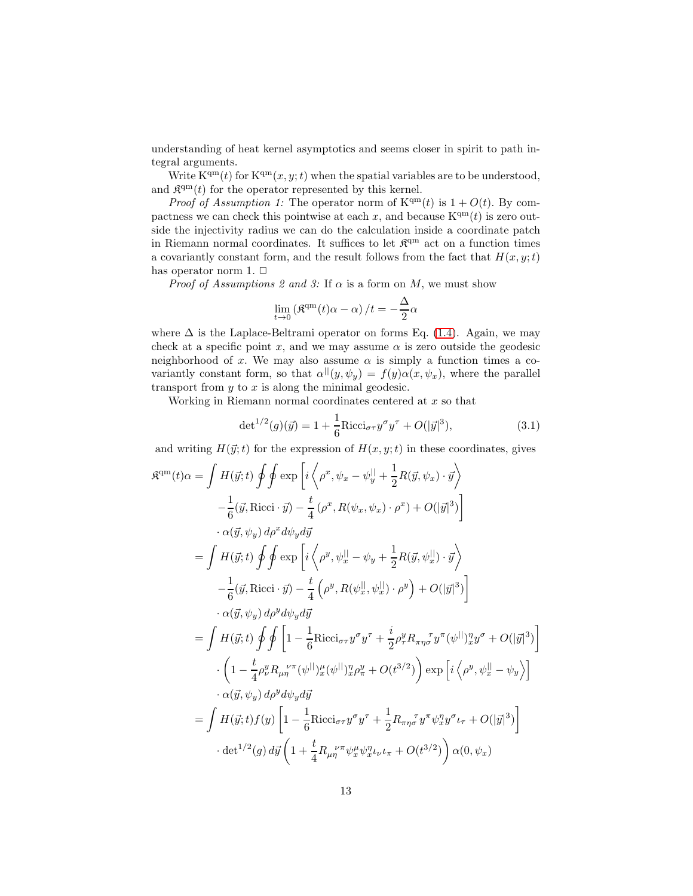understanding of heat kernel asymptotics and seems closer in spirit to path integral arguments.

Write  $K^{qm}(t)$  for  $K^{qm}(x, y; t)$  when the spatial variables are to be understood, and  $\mathfrak{K}^{\text{qm}}(t)$  for the operator represented by this kernel.

*Proof of Assumption 1:* The operator norm of  $K<sup>qm</sup>(t)$  is  $1 + O(t)$ . By compactness we can check this pointwise at each x, and because  $K<sup>qm</sup>(t)$  is zero outside the injectivity radius we can do the calculation inside a coordinate patch in Riemann normal coordinates. It suffices to let  $\mathfrak{K}^{\rm qm}$  act on a function times a covariantly constant form, and the result follows from the fact that  $H(x, y; t)$ has operator norm 1.  $\Box$ 

*Proof of Assumptions 2 and 3:* If  $\alpha$  is a form on M, we must show

$$
\lim_{t \to 0} \left( \mathfrak{K}^{\mathrm{qm}}(t) \alpha - \alpha \right) / t = -\frac{\Delta}{2} \alpha
$$

where  $\Delta$  is the Laplace-Beltrami operator on forms Eq. [\(1.4\)](#page-3-0). Again, we may check at a specific point x, and we may assume  $\alpha$  is zero outside the geodesic neighborhood of x. We may also assume  $\alpha$  is simply a function times a covariantly constant form, so that  $\alpha^{||}(y, \psi_y) = f(y)\alpha(x, \psi_x)$ , where the parallel transport from  $y$  to  $x$  is along the minimal geodesic.

Working in Riemann normal coordinates centered at x so that

<span id="page-12-0"></span>
$$
\det^{1/2}(g)(\vec{y}) = 1 + \frac{1}{6} \text{Ricci}_{\sigma\tau} y^{\sigma} y^{\tau} + O(|\vec{y}|^3), \tag{3.1}
$$

and writing  $H(\vec{y};t)$  for the expression of  $H(x, y; t)$  in these coordinates, gives

$$
\mathfrak{K}^{\text{qm}}(t)\alpha = \int H(\vec{y};t) \oint \oint \exp\left[i\left\langle \rho^{x}, \psi_{x} - \psi_{y}^{||} + \frac{1}{2}R(\vec{y}, \psi_{x}) \cdot \vec{y} \right\rangle \right. \left. - \frac{1}{6}(\vec{y}, \text{Ricci} \cdot \vec{y}) - \frac{t}{4}(\rho^{x}, R(\psi_{x}, \psi_{x}) \cdot \rho^{x}) + O(|\vec{y}|^{3}) \right] \left. - \alpha(\vec{y}, \psi_{y}) d\rho^{x} d\psi_{y} d\vec{y} \right. \left. - \frac{1}{6}H(\vec{y};t) \oint \oint \exp\left[i\left\langle \rho^{y}, \psi_{x}^{||} - \psi_{y} + \frac{1}{2}R(\vec{y}, \psi_{x}^{||}) \cdot \vec{y} \right\rangle \right. \left. - \frac{1}{6}(\vec{y}, \text{Ricci} \cdot \vec{y}) - \frac{t}{4}(\rho^{y}, R(\psi_{x}^{||}, \psi_{x}^{||}) \cdot \rho^{y}) + O(|\vec{y}|^{3}) \right] \left. - \alpha(\vec{y}, \psi_{y}) d\rho^{y} d\psi_{y} d\vec{y} \right. \left. - \frac{1}{4}(\vec{y};t) \oint \oint \left[1 - \frac{1}{6} \text{Ricci}_{\sigma\tau} y^{\sigma} y^{\tau} + \frac{i}{2} \rho_{\tau}^{y} R_{\pi\eta\sigma}^{-1} y^{\pi} (\psi^{||})_{x}^{\eta} y^{\sigma} + O(|\vec{y}|^{3}) \right] \left. - \left(1 - \frac{t}{4} \rho_{y}^{y} R_{\mu\eta}^{-1} (\psi^{||})_{x}^{\mu} (\psi^{||})_{x}^{\eta} \rho_{x}^{y} + O(t^{3/2}) \right) \exp\left[i\left\langle \rho^{y}, \psi_{x}^{||} - \psi_{y} \right\rangle \right] \left. - \alpha(\vec{y}, \psi_{y}) d\rho^{y} d\psi_{y} d\vec{y} \right. \left. - \frac{1}{6} H(\vec{y};t) f(y) \left[1 - \frac{1}{6} \text{Ricci}_{\sigma\tau} y^{\sigma} y^{\tau} + \frac{1}{2
$$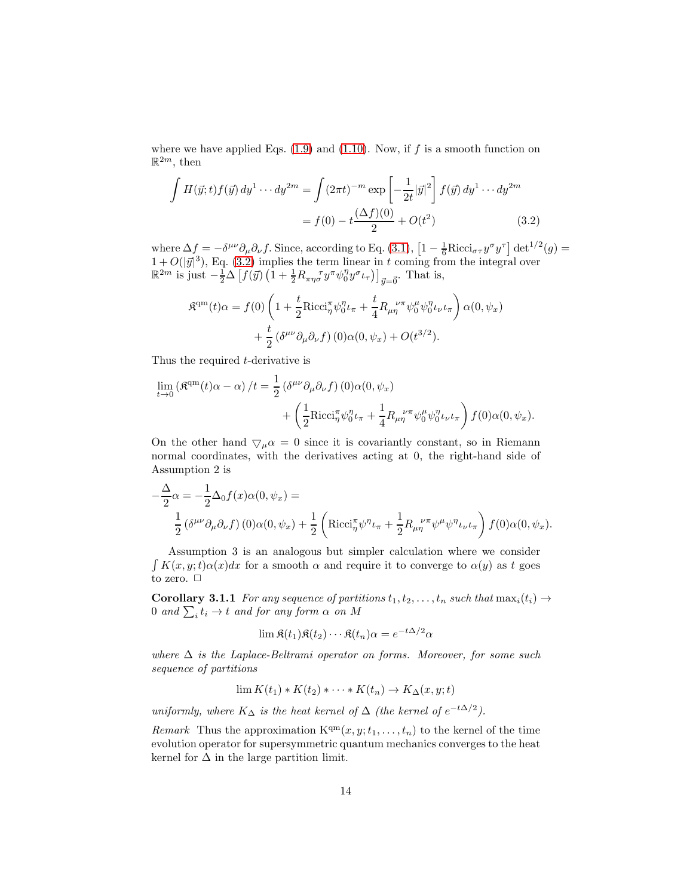where we have applied Eqs.  $(1.9)$  and  $(1.10)$ . Now, if f is a smooth function on  $\mathbb{R}^{2m}$ , then

$$
\int H(\vec{y};t)f(\vec{y}) dy^{1} \cdots dy^{2m} = \int (2\pi t)^{-m} \exp\left[-\frac{1}{2t}|\vec{y}|^{2}\right] f(\vec{y}) dy^{1} \cdots dy^{2m}
$$

$$
= f(0) - t\frac{(\Delta f)(0)}{2} + O(t^{2}) \tag{3.2}
$$

where  $\Delta f = -\delta^{\mu\nu}\partial_{\mu}\partial_{\nu}f$ . Since, according to Eq. [\(3.1\)](#page-12-0),  $\left[1 - \frac{1}{6}\text{Ricci}_{\sigma\tau}y^{\sigma}y^{\tau}\right]det^{1/2}(g) =$  $1 + O(|\vec{y}|^3)$ , Eq. [\(3.2\)](#page-13-0) implies the term linear in t coming from the integral over  $\mathbb{R}^{2m}$  is just  $-\frac{1}{2}\Delta \left[ f(\vec{y}) \left(1 + \frac{1}{2} R_{\pi\eta\sigma}^{\qquad \tau} y^{\pi} \psi_0^{\eta} y^{\sigma} \iota_{\tau} \right) \right]_{\vec{y} = \vec{0}}$ . That is,

<span id="page-13-0"></span>
$$
\mathfrak{K}^{\text{qm}}(t)\alpha = f(0)\left(1 + \frac{t}{2}\text{Ricci}_{\eta}^{\pi}\psi_{0}^{\eta}\iota_{\pi} + \frac{t}{4}R_{\mu\eta}^{\nu\pi}\psi_{0}^{\mu}\psi_{0}^{\eta}\iota_{\nu}\iota_{\pi}\right)\alpha(0,\psi_{x}) + \frac{t}{2}\left(\delta^{\mu\nu}\partial_{\mu}\partial_{\nu}f\right)(0)\alpha(0,\psi_{x}) + O(t^{3/2}).
$$

Thus the required t-derivative is

$$
\lim_{t \to 0} (\mathfrak{K}^{\text{qm}}(t)\alpha - \alpha) / t = \frac{1}{2} (\delta^{\mu\nu}\partial_{\mu}\partial_{\nu}f) (0)\alpha(0, \psi_x) + \left(\frac{1}{2}\text{Ricci}_{\eta}^{\pi}\psi_0^{\eta} \iota_{\pi} + \frac{1}{4}R_{\mu\eta}^{\nu\pi}\psi_0^{\mu}\psi_0^{\eta} \iota_{\nu}\iota_{\pi}\right) f(0)\alpha(0, \psi_x).
$$

On the other hand  $\bigtriangledown_{\mu} \alpha = 0$  since it is covariantly constant, so in Riemann normal coordinates, with the derivatives acting at 0, the right-hand side of Assumption 2 is

$$
-\frac{\Delta}{2}\alpha = -\frac{1}{2}\Delta_0 f(x)\alpha(0, \psi_x) =
$$
  

$$
\frac{1}{2} (\delta^{\mu\nu}\partial_\mu \partial_\nu f) (0)\alpha(0, \psi_x) + \frac{1}{2} \left( \text{Ricci}_{\eta}^{\pi} \psi^{\eta} \iota_{\pi} + \frac{1}{2} R_{\mu\eta}^{\nu\pi} \psi^{\mu} \psi^{\eta} \iota_{\nu} \iota_{\pi} \right) f(0)\alpha(0, \psi_x).
$$

Assumption 3 is an analogous but simpler calculation where we consider  $\int K(x, y; t) \alpha(x) dx$  for a smooth  $\alpha$  and require it to converge to  $\alpha(y)$  as t goes to zero.  $\Box$ 

**Corollary 3.1.1** *For any sequence of partitions*  $t_1, t_2, \ldots, t_n$  *such that*  $\max_i(t_i) \rightarrow$ 0 and  $\sum_i t_i \to t$  and for any form  $\alpha$  on M

$$
\lim \mathfrak{K}(t_1)\mathfrak{K}(t_2)\cdots \mathfrak{K}(t_n)\alpha = e^{-t\Delta/2}\alpha
$$

*where* ∆ *is the Laplace-Beltrami operator on forms. Moreover, for some such sequence of partitions*

$$
\lim K(t_1) * K(t_2) * \cdots * K(t_n) \to K_{\Delta}(x, y; t)
$$

*uniformly, where*  $K_{\Delta}$  *is the heat kernel of*  $\Delta$  *(the kernel of*  $e^{-t\Delta/2}$ *).* 

*Remark* Thus the approximation  $K^{qm}(x, y; t_1, \ldots, t_n)$  to the kernel of the time evolution operator for supersymmetric quantum mechanics converges to the heat kernel for  $\Delta$  in the large partition limit.